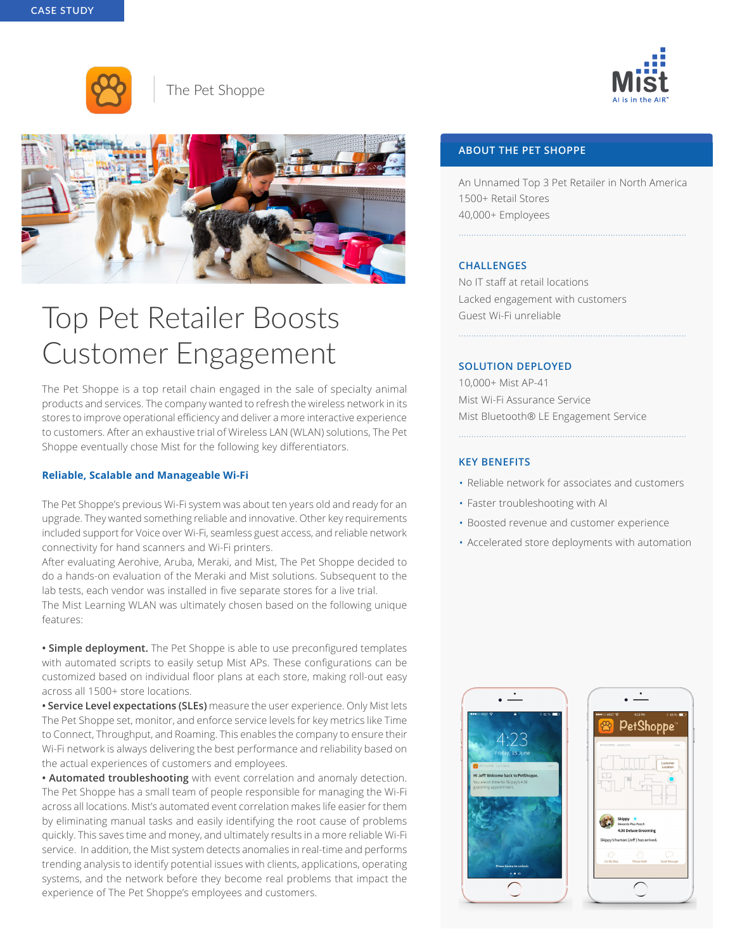



The Pet Shoppe



# Top Pet Retailer Boosts Customer Engagement

The Pet Shoppe is a top retail chain engaged in the sale of specialty animal products and services. The company wanted to refresh the wireless network in its stores to improve operational efficiency and deliver a more interactive experience to customers. After an exhaustive trial of Wireless LAN (WLAN) solutions, The Pet Shoppe eventually chose Mist for the following key differentiators.

## **Reliable, Scalable and Manageable Wi-Fi**

The Pet Shoppe's previous Wi-Fi system was about ten years old and ready for an upgrade. They wanted something reliable and innovative. Other key requirements included support for Voice over Wi-Fi, seamless guest access, and reliable network connectivity for hand scanners and Wi-Fi printers.

After evaluating Aerohive, Aruba, Meraki, and Mist, The Pet Shoppe decided to do a hands-on evaluation of the Meraki and Mist solutions. Subsequent to the lab tests, each vendor was installed in five separate stores for a live trial. The Mist Learning WLAN was ultimately chosen based on the following unique features:

**• Simple deployment.** The Pet Shoppe is able to use preconfigured templates with automated scripts to easily setup Mist APs. These configurations can be customized based on individual floor plans at each store, making roll-out easy across all 1500+ store locations.

**• Service Level expectations (SLEs)** measure the user experience. Only Mist lets The Pet Shoppe set, monitor, and enforce service levels for key metrics like Time to Connect, Throughput, and Roaming. This enables the company to ensure their Wi-Fi network is always delivering the best performance and reliability based on the actual experiences of customers and employees.

**• Automated troubleshooting** with event correlation and anomaly detection. The Pet Shoppe has a small team of people responsible for managing the Wi-Fi across all locations. Mist's automated event correlation makes life easier for them by eliminating manual tasks and easily identifying the root cause of problems quickly. This saves time and money, and ultimately results in a more reliable Wi-Fi service. In addition, the Mist system detects anomalies in real-time and performs trending analysis to identify potential issues with clients, applications, operating systems, and the network before they become real problems that impact the experience of The Pet Shoppe's employees and customers.

# **ABOUT THE PET SHOPPE**

An Unnamed Top 3 Pet Retailer in North America 1500+ Retail Stores 40,000+ Employees

..........................................................................................

..........................................................................................

## **CHALLENGES**

No IT staff at retail locations Lacked engagement with customers Guest Wi-Fi unreliable

# **SOLUTION DEPLOYED**

10,000+ Mist AP-41 Mist Wi-Fi Assurance Service Mist Bluetooth® LE Engagement Service

## **KEY BENEFITS**

• Reliable network for associates and customers

..........................................................................................

- Faster troubleshooting with AI
- Boosted revenue and customer experience
- Accelerated store deployments with automation